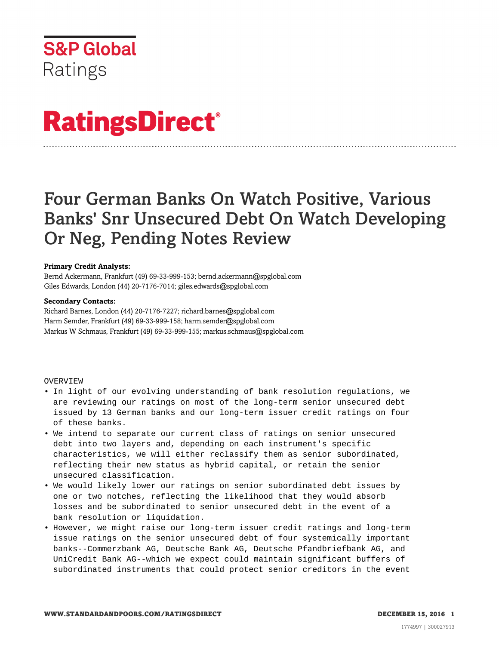

# **RatingsDirect®**

# Four German Banks On Watch Positive, Various Banks' Snr Unsecured Debt On Watch Developing Or Neg, Pending Notes Review

# **Primary Credit Analysts:**

Bernd Ackermann, Frankfurt (49) 69-33-999-153; bernd.ackermann@spglobal.com Giles Edwards, London (44) 20-7176-7014; giles.edwards@spglobal.com

## **Secondary Contacts:**

Richard Barnes, London (44) 20-7176-7227; richard.barnes@spglobal.com Harm Semder, Frankfurt (49) 69-33-999-158; harm.semder@spglobal.com Markus W Schmaus, Frankfurt (49) 69-33-999-155; markus.schmaus@spglobal.com

## OVERVIEW

- In light of our evolving understanding of bank resolution regulations, we are reviewing our ratings on most of the long-term senior unsecured debt issued by 13 German banks and our long-term issuer credit ratings on four of these banks.
- We intend to separate our current class of ratings on senior unsecured debt into two layers and, depending on each instrument's specific characteristics, we will either reclassify them as senior subordinated, reflecting their new status as hybrid capital, or retain the senior unsecured classification.
- We would likely lower our ratings on senior subordinated debt issues by one or two notches, reflecting the likelihood that they would absorb losses and be subordinated to senior unsecured debt in the event of a bank resolution or liquidation.
- However, we might raise our long-term issuer credit ratings and long-term issue ratings on the senior unsecured debt of four systemically important banks--Commerzbank AG, Deutsche Bank AG, Deutsche Pfandbriefbank AG, and UniCredit Bank AG--which we expect could maintain significant buffers of subordinated instruments that could protect senior creditors in the event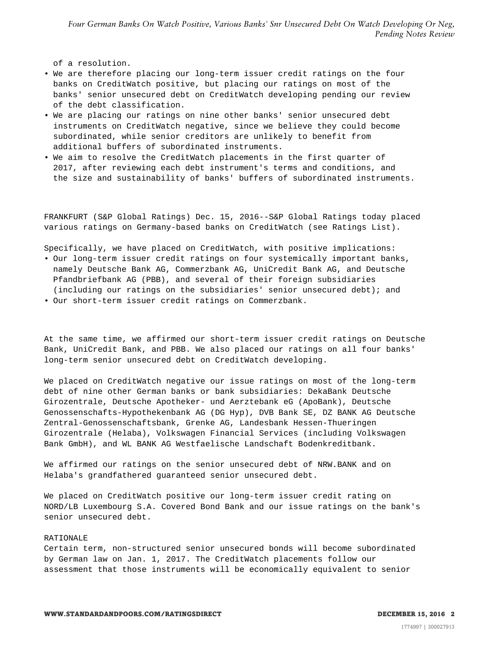of a resolution.

- We are therefore placing our long-term issuer credit ratings on the four banks on CreditWatch positive, but placing our ratings on most of the banks' senior unsecured debt on CreditWatch developing pending our review of the debt classification.
- We are placing our ratings on nine other banks' senior unsecured debt instruments on CreditWatch negative, since we believe they could become subordinated, while senior creditors are unlikely to benefit from additional buffers of subordinated instruments.
- We aim to resolve the CreditWatch placements in the first quarter of 2017, after reviewing each debt instrument's terms and conditions, and the size and sustainability of banks' buffers of subordinated instruments.

FRANKFURT (S&P Global Ratings) Dec. 15, 2016--S&P Global Ratings today placed various ratings on Germany-based banks on CreditWatch (see Ratings List).

Specifically, we have placed on CreditWatch, with positive implications:

- Our long-term issuer credit ratings on four systemically important banks, namely Deutsche Bank AG, Commerzbank AG, UniCredit Bank AG, and Deutsche Pfandbriefbank AG (PBB), and several of their foreign subsidiaries (including our ratings on the subsidiaries' senior unsecured debt); and
- Our short-term issuer credit ratings on Commerzbank.

At the same time, we affirmed our short-term issuer credit ratings on Deutsche Bank, UniCredit Bank, and PBB. We also placed our ratings on all four banks' long-term senior unsecured debt on CreditWatch developing.

We placed on CreditWatch negative our issue ratings on most of the long-term debt of nine other German banks or bank subsidiaries: DekaBank Deutsche Girozentrale, Deutsche Apotheker- und Aerztebank eG (ApoBank), Deutsche Genossenschafts-Hypothekenbank AG (DG Hyp), DVB Bank SE, DZ BANK AG Deutsche Zentral-Genossenschaftsbank, Grenke AG, Landesbank Hessen-Thueringen Girozentrale (Helaba), Volkswagen Financial Services (including Volkswagen Bank GmbH), and WL BANK AG Westfaelische Landschaft Bodenkreditbank.

We affirmed our ratings on the senior unsecured debt of NRW.BANK and on Helaba's grandfathered guaranteed senior unsecured debt.

We placed on CreditWatch positive our long-term issuer credit rating on NORD/LB Luxembourg S.A. Covered Bond Bank and our issue ratings on the bank's senior unsecured debt.

#### RATIONALE

Certain term, non-structured senior unsecured bonds will become subordinated by German law on Jan. 1, 2017. The CreditWatch placements follow our assessment that those instruments will be economically equivalent to senior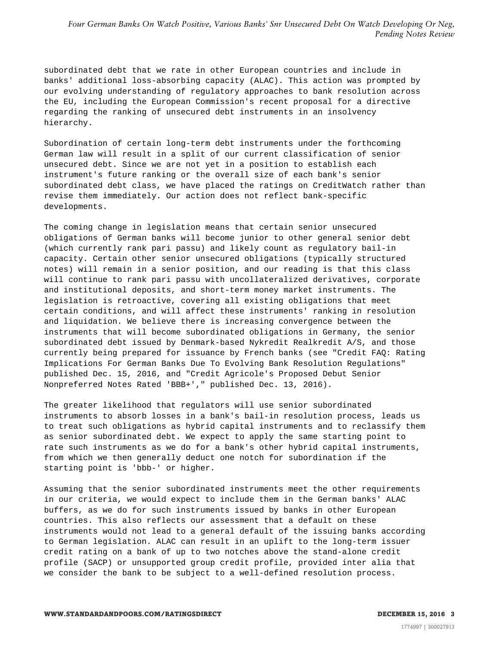subordinated debt that we rate in other European countries and include in banks' additional loss-absorbing capacity (ALAC). This action was prompted by our evolving understanding of regulatory approaches to bank resolution across the EU, including the European Commission's recent proposal for a directive regarding the ranking of unsecured debt instruments in an insolvency hierarchy.

Subordination of certain long-term debt instruments under the forthcoming German law will result in a split of our current classification of senior unsecured debt. Since we are not yet in a position to establish each instrument's future ranking or the overall size of each bank's senior subordinated debt class, we have placed the ratings on CreditWatch rather than revise them immediately. Our action does not reflect bank-specific developments.

The coming change in legislation means that certain senior unsecured obligations of German banks will become junior to other general senior debt (which currently rank pari passu) and likely count as regulatory bail-in capacity. Certain other senior unsecured obligations (typically structured notes) will remain in a senior position, and our reading is that this class will continue to rank pari passu with uncollateralized derivatives, corporate and institutional deposits, and short-term money market instruments. The legislation is retroactive, covering all existing obligations that meet certain conditions, and will affect these instruments' ranking in resolution and liquidation. We believe there is increasing convergence between the instruments that will become subordinated obligations in Germany, the senior subordinated debt issued by Denmark-based Nykredit Realkredit A/S, and those currently being prepared for issuance by French banks (see "Credit FAQ: Rating Implications For German Banks Due To Evolving Bank Resolution Regulations" published Dec. 15, 2016, and "Credit Agricole's Proposed Debut Senior Nonpreferred Notes Rated 'BBB+'," published Dec. 13, 2016).

The greater likelihood that regulators will use senior subordinated instruments to absorb losses in a bank's bail-in resolution process, leads us to treat such obligations as hybrid capital instruments and to reclassify them as senior subordinated debt. We expect to apply the same starting point to rate such instruments as we do for a bank's other hybrid capital instruments, from which we then generally deduct one notch for subordination if the starting point is 'bbb-' or higher.

Assuming that the senior subordinated instruments meet the other requirements in our criteria, we would expect to include them in the German banks' ALAC buffers, as we do for such instruments issued by banks in other European countries. This also reflects our assessment that a default on these instruments would not lead to a general default of the issuing banks according to German legislation. ALAC can result in an uplift to the long-term issuer credit rating on a bank of up to two notches above the stand-alone credit profile (SACP) or unsupported group credit profile, provided inter alia that we consider the bank to be subject to a well-defined resolution process.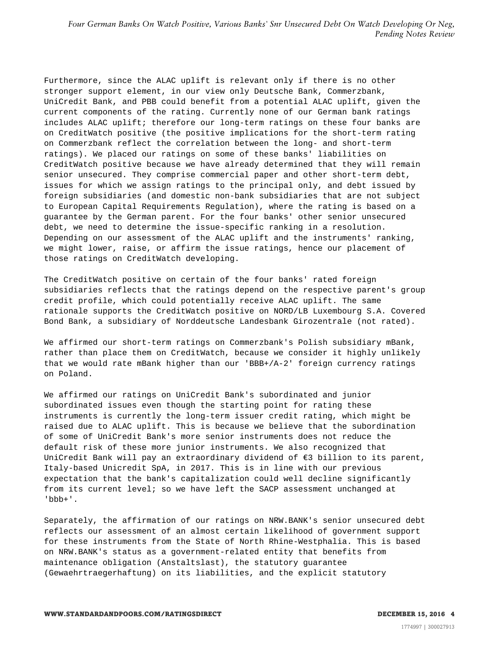Furthermore, since the ALAC uplift is relevant only if there is no other stronger support element, in our view only Deutsche Bank, Commerzbank, UniCredit Bank, and PBB could benefit from a potential ALAC uplift, given the current components of the rating. Currently none of our German bank ratings includes ALAC uplift; therefore our long-term ratings on these four banks are on CreditWatch positive (the positive implications for the short-term rating on Commerzbank reflect the correlation between the long- and short-term ratings). We placed our ratings on some of these banks' liabilities on CreditWatch positive because we have already determined that they will remain senior unsecured. They comprise commercial paper and other short-term debt, issues for which we assign ratings to the principal only, and debt issued by foreign subsidiaries (and domestic non-bank subsidiaries that are not subject to European Capital Requirements Regulation), where the rating is based on a guarantee by the German parent. For the four banks' other senior unsecured debt, we need to determine the issue-specific ranking in a resolution. Depending on our assessment of the ALAC uplift and the instruments' ranking, we might lower, raise, or affirm the issue ratings, hence our placement of those ratings on CreditWatch developing.

The CreditWatch positive on certain of the four banks' rated foreign subsidiaries reflects that the ratings depend on the respective parent's group credit profile, which could potentially receive ALAC uplift. The same rationale supports the CreditWatch positive on NORD/LB Luxembourg S.A. Covered Bond Bank, a subsidiary of Norddeutsche Landesbank Girozentrale (not rated).

We affirmed our short-term ratings on Commerzbank's Polish subsidiary mBank, rather than place them on CreditWatch, because we consider it highly unlikely that we would rate mBank higher than our 'BBB+/A-2' foreign currency ratings on Poland.

We affirmed our ratings on UniCredit Bank's subordinated and junior subordinated issues even though the starting point for rating these instruments is currently the long-term issuer credit rating, which might be raised due to ALAC uplift. This is because we believe that the subordination of some of UniCredit Bank's more senior instruments does not reduce the default risk of these more junior instruments. We also recognized that UniCredit Bank will pay an extraordinary dividend of €3 billion to its parent, Italy-based Unicredit SpA, in 2017. This is in line with our previous expectation that the bank's capitalization could well decline significantly from its current level; so we have left the SACP assessment unchanged at 'bbb+'.

Separately, the affirmation of our ratings on NRW.BANK's senior unsecured debt reflects our assessment of an almost certain likelihood of government support for these instruments from the State of North Rhine-Westphalia. This is based on NRW.BANK's status as a government-related entity that benefits from maintenance obligation (Anstaltslast), the statutory guarantee (Gewaehrtraegerhaftung) on its liabilities, and the explicit statutory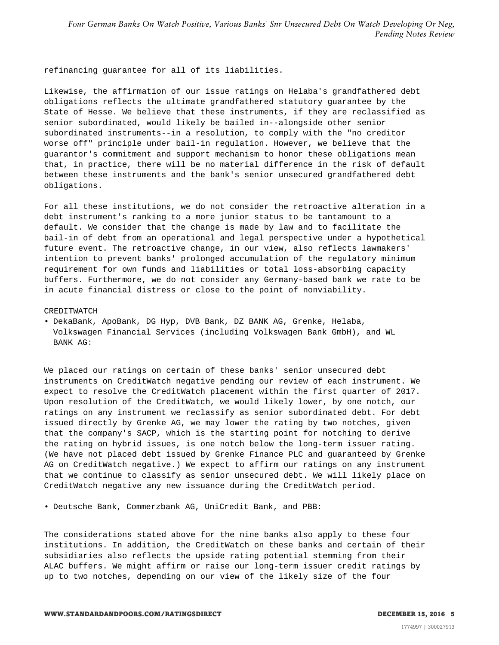refinancing guarantee for all of its liabilities.

Likewise, the affirmation of our issue ratings on Helaba's grandfathered debt obligations reflects the ultimate grandfathered statutory guarantee by the State of Hesse. We believe that these instruments, if they are reclassified as senior subordinated, would likely be bailed in--alongside other senior subordinated instruments--in a resolution, to comply with the "no creditor worse off" principle under bail-in regulation. However, we believe that the guarantor's commitment and support mechanism to honor these obligations mean that, in practice, there will be no material difference in the risk of default between these instruments and the bank's senior unsecured grandfathered debt obligations.

For all these institutions, we do not consider the retroactive alteration in a debt instrument's ranking to a more junior status to be tantamount to a default. We consider that the change is made by law and to facilitate the bail-in of debt from an operational and legal perspective under a hypothetical future event. The retroactive change, in our view, also reflects lawmakers' intention to prevent banks' prolonged accumulation of the regulatory minimum requirement for own funds and liabilities or total loss-absorbing capacity buffers. Furthermore, we do not consider any Germany-based bank we rate to be in acute financial distress or close to the point of nonviability.

#### CREDITWATCH

• DekaBank, ApoBank, DG Hyp, DVB Bank, DZ BANK AG, Grenke, Helaba, Volkswagen Financial Services (including Volkswagen Bank GmbH), and WL BANK AG:

We placed our ratings on certain of these banks' senior unsecured debt instruments on CreditWatch negative pending our review of each instrument. We expect to resolve the CreditWatch placement within the first quarter of 2017. Upon resolution of the CreditWatch, we would likely lower, by one notch, our ratings on any instrument we reclassify as senior subordinated debt. For debt issued directly by Grenke AG, we may lower the rating by two notches, given that the company's SACP, which is the starting point for notching to derive the rating on hybrid issues, is one notch below the long-term issuer rating. (We have not placed debt issued by Grenke Finance PLC and guaranteed by Grenke AG on CreditWatch negative.) We expect to affirm our ratings on any instrument that we continue to classify as senior unsecured debt. We will likely place on CreditWatch negative any new issuance during the CreditWatch period.

• Deutsche Bank, Commerzbank AG, UniCredit Bank, and PBB:

The considerations stated above for the nine banks also apply to these four institutions. In addition, the CreditWatch on these banks and certain of their subsidiaries also reflects the upside rating potential stemming from their ALAC buffers. We might affirm or raise our long-term issuer credit ratings by up to two notches, depending on our view of the likely size of the four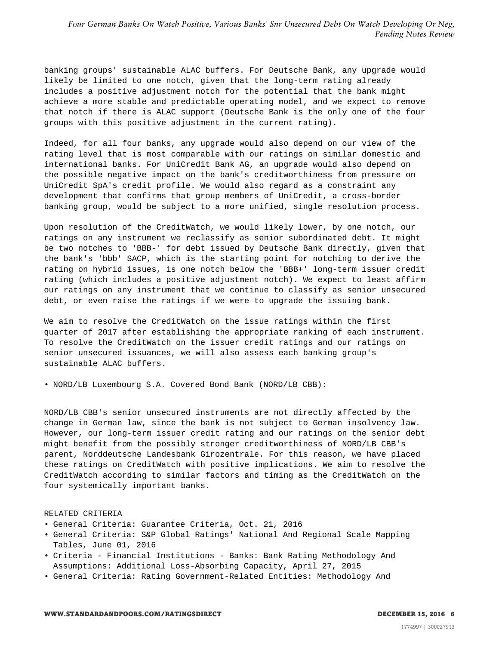banking groups' sustainable ALAC buffers. For Deutsche Bank, any upgrade would likely be limited to one notch, given that the long-term rating already includes a positive adjustment notch for the potential that the bank might achieve a more stable and predictable operating model, and we expect to remove that notch if there is ALAC support (Deutsche Bank is the only one of the four groups with this positive adjustment in the current rating).

Indeed, for all four banks, any upgrade would also depend on our view of the rating level that is most comparable with our ratings on similar domestic and international banks. For UniCredit Bank AG, an upgrade would also depend on the possible negative impact on the bank's creditworthiness from pressure on UniCredit SpA's credit profile. We would also regard as a constraint any development that confirms that group members of UniCredit, a cross-border banking group, would be subject to a more unified, single resolution process.

Upon resolution of the CreditWatch, we would likely lower, by one notch, our ratings on any instrument we reclassify as senior subordinated debt. It might be two notches to 'BBB-' for debt issued by Deutsche Bank directly, given that the bank's 'bbb' SACP, which is the starting point for notching to derive the rating on hybrid issues, is one notch below the 'BBB+' long-term issuer credit rating (which includes a positive adjustment notch). We expect to least affirm our ratings on any instrument that we continue to classify as senior unsecured debt, or even raise the ratings if we were to upgrade the issuing bank.

We aim to resolve the CreditWatch on the issue ratings within the first quarter of 2017 after establishing the appropriate ranking of each instrument. To resolve the CreditWatch on the issuer credit ratings and our ratings on senior unsecured issuances, we will also assess each banking group's sustainable ALAC buffers.

• NORD/LB Luxembourg S.A. Covered Bond Bank (NORD/LB CBB):

NORD/LB CBB's senior unsecured instruments are not directly affected by the change in German law, since the bank is not subject to German insolvency law. However, our long-term issuer credit rating and our ratings on the senior debt might benefit from the possibly stronger creditworthiness of NORD/LB CBB's parent, Norddeutsche Landesbank Girozentrale. For this reason, we have placed these ratings on CreditWatch with positive implications. We aim to resolve the CreditWatch according to similar factors and timing as the CreditWatch on the four systemically important banks.

#### RELATED CRITERIA

- General Criteria: Guarantee Criteria, Oct. 21, 2016
- General Criteria: S&P Global Ratings' National And Regional Scale Mapping Tables, June 01, 2016
- Criteria Financial Institutions Banks: Bank Rating Methodology And Assumptions: Additional Loss-Absorbing Capacity, April 27, 2015
- General Criteria: Rating Government-Related Entities: Methodology And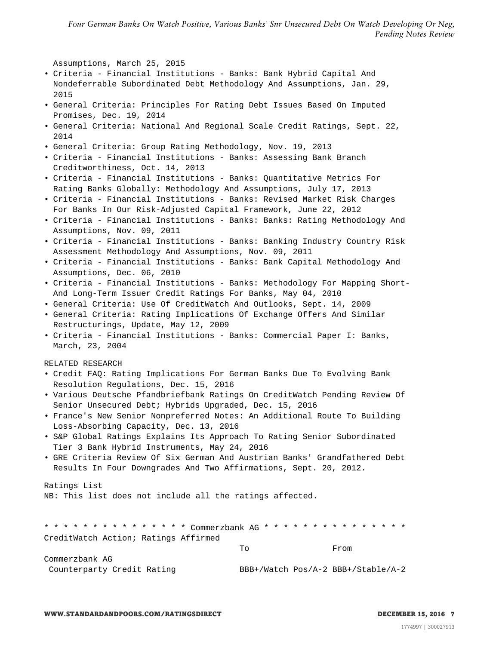Assumptions, March 25, 2015

- Criteria Financial Institutions Banks: Bank Hybrid Capital And Nondeferrable Subordinated Debt Methodology And Assumptions, Jan. 29, 2015
- General Criteria: Principles For Rating Debt Issues Based On Imputed Promises, Dec. 19, 2014
- General Criteria: National And Regional Scale Credit Ratings, Sept. 22, 2014
- General Criteria: Group Rating Methodology, Nov. 19, 2013
- Criteria Financial Institutions Banks: Assessing Bank Branch Creditworthiness, Oct. 14, 2013
- Criteria Financial Institutions Banks: Quantitative Metrics For Rating Banks Globally: Methodology And Assumptions, July 17, 2013
- Criteria Financial Institutions Banks: Revised Market Risk Charges For Banks In Our Risk-Adjusted Capital Framework, June 22, 2012
- Criteria Financial Institutions Banks: Banks: Rating Methodology And Assumptions, Nov. 09, 2011
- Criteria Financial Institutions Banks: Banking Industry Country Risk Assessment Methodology And Assumptions, Nov. 09, 2011
- Criteria Financial Institutions Banks: Bank Capital Methodology And Assumptions, Dec. 06, 2010
- Criteria Financial Institutions Banks: Methodology For Mapping Short-And Long-Term Issuer Credit Ratings For Banks, May 04, 2010
- General Criteria: Use Of CreditWatch And Outlooks, Sept. 14, 2009
- General Criteria: Rating Implications Of Exchange Offers And Similar Restructurings, Update, May 12, 2009
- Criteria Financial Institutions Banks: Commercial Paper I: Banks, March, 23, 2004

RELATED RESEARCH

- Credit FAQ: Rating Implications For German Banks Due To Evolving Bank Resolution Regulations, Dec. 15, 2016
- Various Deutsche Pfandbriefbank Ratings On CreditWatch Pending Review Of Senior Unsecured Debt; Hybrids Upgraded, Dec. 15, 2016
- France's New Senior Nonpreferred Notes: An Additional Route To Building Loss-Absorbing Capacity, Dec. 13, 2016
- S&P Global Ratings Explains Its Approach To Rating Senior Subordinated Tier 3 Bank Hybrid Instruments, May 24, 2016
- GRE Criteria Review Of Six German And Austrian Banks' Grandfathered Debt Results In Four Downgrades And Two Affirmations, Sept. 20, 2012.

Ratings List NB: This list does not include all the ratings affected.

\* \* \* \* \* \* \* \* \* \* \* \* \* \* \* Commerzbank AG \* \* \* \* \* \* \* \* \* \* \* \* \* \* \* CreditWatch Action; Ratings Affirmed To From

Commerzbank AG Counterparty Credit Rating BBB+/Watch Pos/A-2 BBB+/Stable/A-2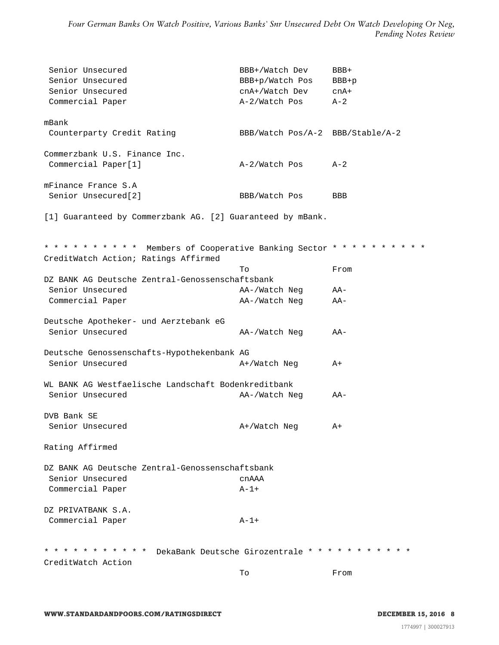| Senior Unsecured<br>Senior Unsecured<br>Senior Unsecured<br>Commercial Paper            | BBB+/Watch Dev<br>BBB+p/Watch Pos<br>cnA+/Watch Dev<br>A-2/Watch Pos | BBB+<br>$BBB+p$<br>$cnA+$<br>$A - 2$                      |
|-----------------------------------------------------------------------------------------|----------------------------------------------------------------------|-----------------------------------------------------------|
| mBank<br>Counterparty Credit Rating                                                     | BBB/Watch Pos/A-2 BBB/Stable/A-2                                     |                                                           |
| Commerzbank U.S. Finance Inc.<br>Commercial Paper[1]                                    | A-2/Watch Pos                                                        | $A-2$                                                     |
| mFinance France S.A<br>Senior Unsecured [2]                                             | BBB/Watch Pos                                                        | <b>BBB</b>                                                |
| [1] Guaranteed by Commerzbank AG. [2] Guaranteed by mBank.                              |                                                                      |                                                           |
| * * * * * * * * * *<br>CreditWatch Action; Ratings Affirmed                             |                                                                      | Members of Cooperative Banking Sector * * * * * * * * * * |
|                                                                                         | Tо                                                                   | From                                                      |
| DZ BANK AG Deutsche Zentral-Genossenschaftsbank                                         |                                                                      |                                                           |
| Senior Unsecured<br>Commercial Paper                                                    | AA-/Watch Neg<br>AA-/Watch Neg                                       | AA-<br>AA-                                                |
| Deutsche Apotheker- und Aerztebank eG<br>Senior Unsecured                               | AA-/Watch Neg                                                        | AA-                                                       |
| Deutsche Genossenschafts-Hypothekenbank AG<br>Senior Unsecured                          | A+/Watch Neg                                                         | $A+$                                                      |
| WL BANK AG Westfaelische Landschaft Bodenkreditbank                                     |                                                                      |                                                           |
| Senior Unsecured                                                                        | AA-/Watch Neg                                                        | AA-                                                       |
| DVB Bank SE                                                                             |                                                                      |                                                           |
| Senior Unsecured                                                                        | A+/Watch Neg                                                         | A+                                                        |
| Rating Affirmed                                                                         |                                                                      |                                                           |
| DZ BANK AG Deutsche Zentral-Genossenschaftsbank<br>Senior Unsecured<br>Commercial Paper | cnAAA<br>$A-1+$                                                      |                                                           |
|                                                                                         |                                                                      |                                                           |
| DZ PRIVATBANK S.A.<br>Commercial Paper                                                  | $A - 1 +$                                                            |                                                           |
| * * * * * * * * * * *<br>CreditWatch Action                                             | DekaBank Deutsche Girozentrale * * * * * *                           |                                                           |
|                                                                                         | Tо                                                                   | From                                                      |
|                                                                                         |                                                                      |                                                           |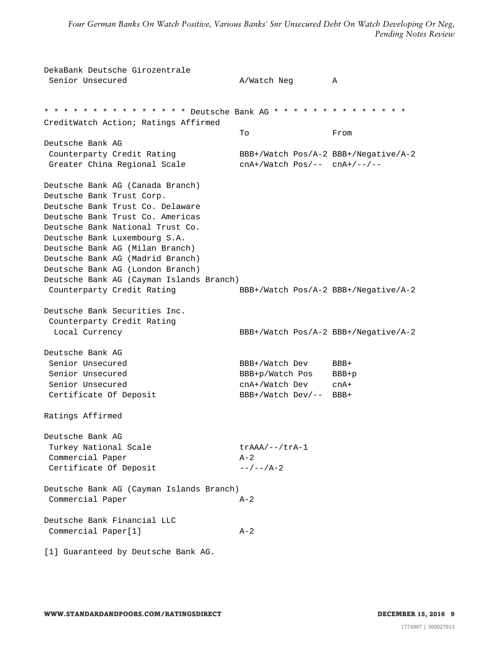DekaBank Deutsche Girozentrale Senior Unsecured A A/Watch Neg A \* \* \* \* \* \* \* \* \* \* \* \* \* \* \* Deutsche Bank AG \* \* \* \* \* \* \* \* \* \* \* \* \* \* CreditWatch Action; Ratings Affirmed To From Deutsche Bank AG Counterparty Credit Rating BBB+/Watch Pos/A-2 BBB+/Negative/A-2 Greater China Regional Scale cnA+/Watch Pos/-- cnA+/--/--Deutsche Bank AG (Canada Branch) Deutsche Bank Trust Corp. Deutsche Bank Trust Co. Delaware Deutsche Bank Trust Co. Americas Deutsche Bank National Trust Co. Deutsche Bank Luxembourg S.A. Deutsche Bank AG (Milan Branch) Deutsche Bank AG (Madrid Branch) Deutsche Bank AG (London Branch) Deutsche Bank AG (Cayman Islands Branch) Counterparty Credit Rating BBB+/Watch Pos/A-2 BBB+/Negative/A-2 Deutsche Bank Securities Inc. Counterparty Credit Rating Local Currency BBB+/Watch Pos/A-2 BBB+/Negative/A-2 Deutsche Bank AG Senior Unsecured BBB+/Watch Dev BBB+ Senior Unsecured BBB+p/Watch Pos BBB+p Senior Unsecured cnA+/Watch Dev cnA+ Certificate Of Deposit BBB+/Watch Dev/-- BBB+ Ratings Affirmed Deutsche Bank AG Turkey National Scale trAAA/--/trA-1 Commercial Paper A-2 Certificate Of Deposit  $-/-/A-2$ Deutsche Bank AG (Cayman Islands Branch) Commercial Paper A-2 Deutsche Bank Financial LLC Commercial Paper[1] A-2 [1] Guaranteed by Deutsche Bank AG.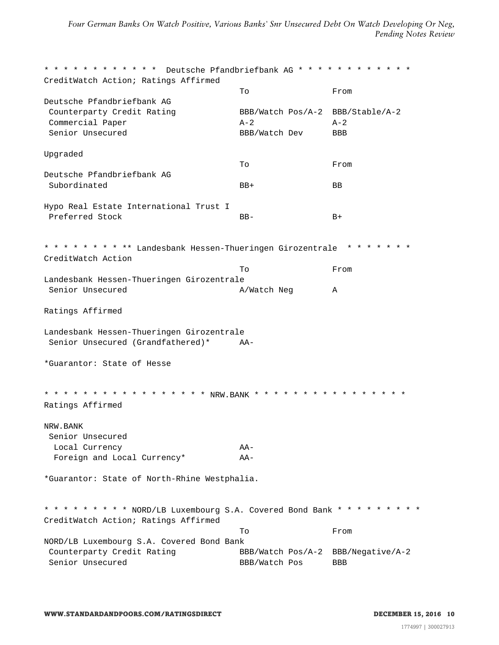\* \* \* \* \* \* \* \* \* \* \* \* Deutsche Pfandbriefbank AG \* \* \* \* \* \* \* \* \* \* \* \* CreditWatch Action; Ratings Affirmed To From Deutsche Pfandbriefbank AG Counterparty Credit Rating BBB/Watch Pos/A-2 BBB/Stable/A-2 Commercial Paper  $A-2$   $A-2$ Senior Unsecured **BBB**/Watch Dev BBB Upgraded To From Deutsche Pfandbriefbank AG Subordinated BB+ BB Hypo Real Estate International Trust I Preferred Stock BB- BB- B+ \* \* \* \* \* \* \* \* \*\* Landesbank Hessen-Thueringen Girozentrale \* \* \* \* \* \* \* CreditWatch Action To From Landesbank Hessen-Thueringen Girozentrale Senior Unsecured A/Watch Neg A Ratings Affirmed Landesbank Hessen-Thueringen Girozentrale Senior Unsecured (Grandfathered)\* AA- \*Guarantor: State of Hesse \* \* \* \* \* \* \* \* \* \* \* \* \* \* \* \* NRW.BANK \* \* \* \* \* \* \* \* \* \* \* \* \* \* \* \* \* Ratings Affirmed NRW.BANK Senior Unsecured Local Currency AA-Foreign and Local Currency\* AA- \*Guarantor: State of North-Rhine Westphalia. \* \* \* \* \* \* \* \* \* NORD/LB Luxembourg S.A. Covered Bond Bank \* \* \* \* \* \* \* \* \* CreditWatch Action; Ratings Affirmed To From NORD/LB Luxembourg S.A. Covered Bond Bank Counterparty Credit Rating BBB/Watch Pos/A-2 BBB/Negative/A-2 Senior Unsecured **BBB**/Watch Pos BBB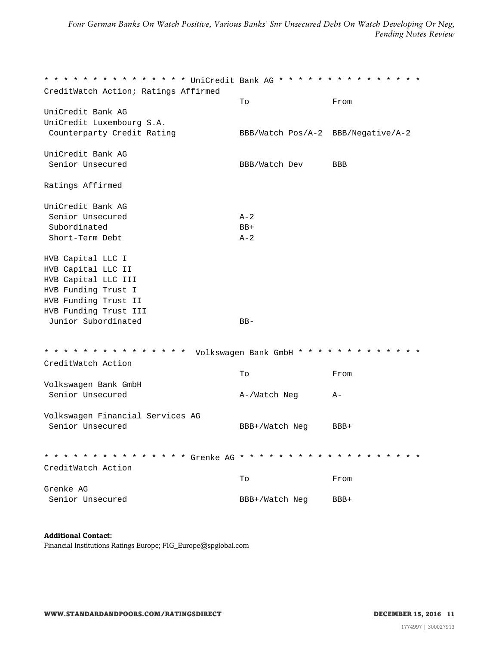\* \* \* \* \* \* \* \* \* \* \* \* \* \* \* UniCredit Bank AG \* \* \* \* \* \* \* \* \* \* \* \* \* \* \* CreditWatch Action; Ratings Affirmed To From UniCredit Bank AG UniCredit Luxembourg S.A. Counterparty Credit Rating BBB/Watch Pos/A-2 BBB/Negative/A-2 UniCredit Bank AG Senior Unsecured **BBB**/Watch Dev BBB Ratings Affirmed UniCredit Bank AG Senior Unsecured A-2 Subordinated BB+ Short-Term Debt  $A-2$ HVB Capital LLC I HVB Capital LLC II HVB Capital LLC III HVB Funding Trust I HVB Funding Trust II HVB Funding Trust III Junior Subordinated BB-\* \* \* \* \* \* \* \* \* \* \* \* \* \* \* Volkswagen Bank GmbH \* \* \* \* \* \* \* \* \* \* \* \* \* CreditWatch Action To From Volkswagen Bank GmbH Senior Unsecured A-/Watch Neg A-Volkswagen Financial Services AG Senior Unsecured BBB+/Watch Neg BBB+ \* \* \* \* \* \* \* \* \* \* \* \* \* \* \* Grenke AG \* \* \* \* \* \* \* \* \* \* \* \* \* \* \* \* \* \* \* CreditWatch Action To From Grenke AG Senior Unsecured BBB+/Watch Neg BBB+

#### **Additional Contact:**

Financial Institutions Ratings Europe; FIG\_Europe@spglobal.com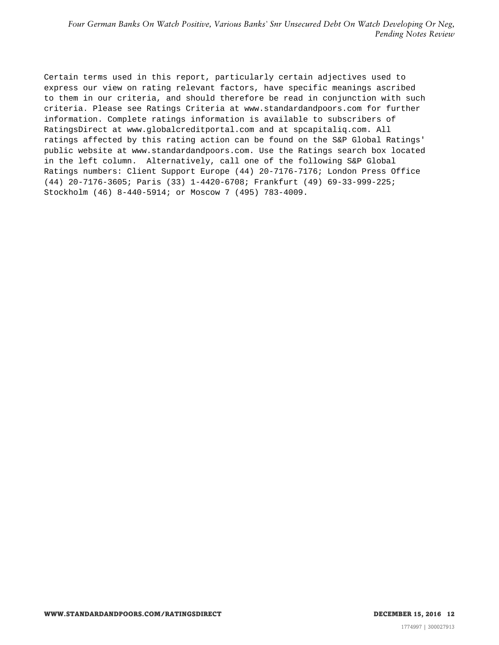Certain terms used in this report, particularly certain adjectives used to express our view on rating relevant factors, have specific meanings ascribed to them in our criteria, and should therefore be read in conjunction with such criteria. Please see Ratings Criteria at www.standardandpoors.com for further information. Complete ratings information is available to subscribers of RatingsDirect at www.globalcreditportal.com and at spcapitaliq.com. All ratings affected by this rating action can be found on the S&P Global Ratings' public website at www.standardandpoors.com. Use the Ratings search box located in the left column. Alternatively, call one of the following S&P Global Ratings numbers: Client Support Europe (44) 20-7176-7176; London Press Office (44) 20-7176-3605; Paris (33) 1-4420-6708; Frankfurt (49) 69-33-999-225; Stockholm (46) 8-440-5914; or Moscow 7 (495) 783-4009.